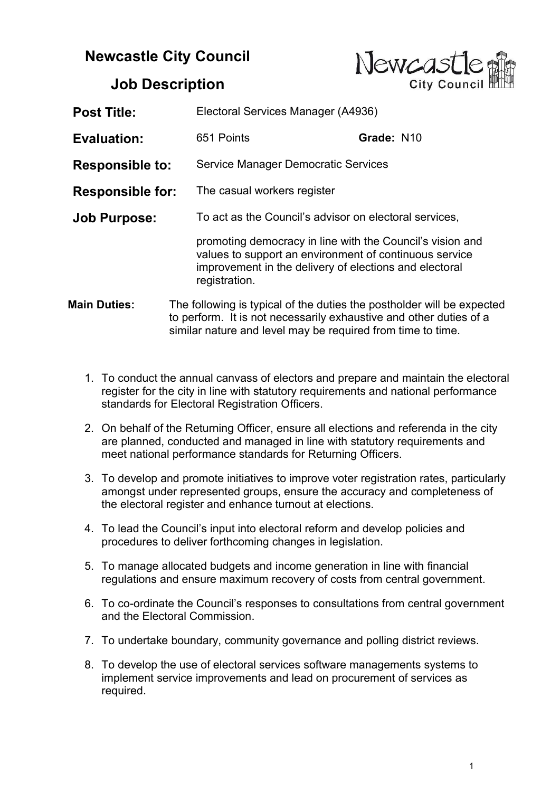## Newcastle City Council



## Job Description

| <b>Post Title:</b>      |                                                                                                                                                                                                             | Electoral Services Manager (A4936)                                                                                                                                            |  |
|-------------------------|-------------------------------------------------------------------------------------------------------------------------------------------------------------------------------------------------------------|-------------------------------------------------------------------------------------------------------------------------------------------------------------------------------|--|
| <b>Evaluation:</b>      | 651 Points                                                                                                                                                                                                  | Grade: N10                                                                                                                                                                    |  |
| <b>Responsible to:</b>  |                                                                                                                                                                                                             | <b>Service Manager Democratic Services</b>                                                                                                                                    |  |
| <b>Responsible for:</b> |                                                                                                                                                                                                             | The casual workers register                                                                                                                                                   |  |
| <b>Job Purpose:</b>     |                                                                                                                                                                                                             | To act as the Council's advisor on electoral services,                                                                                                                        |  |
|                         | registration.                                                                                                                                                                                               | promoting democracy in line with the Council's vision and<br>values to support an environment of continuous service<br>improvement in the delivery of elections and electoral |  |
| <b>Main Duties:</b>     | The following is typical of the duties the postholder will be expected<br>to perform. It is not necessarily exhaustive and other duties of a<br>similar nature and level may be required from time to time. |                                                                                                                                                                               |  |

- 1. To conduct the annual canvass of electors and prepare and maintain the electoral register for the city in line with statutory requirements and national performance standards for Electoral Registration Officers.
- 2. On behalf of the Returning Officer, ensure all elections and referenda in the city are planned, conducted and managed in line with statutory requirements and meet national performance standards for Returning Officers.
- 3. To develop and promote initiatives to improve voter registration rates, particularly amongst under represented groups, ensure the accuracy and completeness of the electoral register and enhance turnout at elections.
- 4. To lead the Council's input into electoral reform and develop policies and procedures to deliver forthcoming changes in legislation.
- 5. To manage allocated budgets and income generation in line with financial regulations and ensure maximum recovery of costs from central government.
- 6. To co-ordinate the Council's responses to consultations from central government and the Electoral Commission.
- 7. To undertake boundary, community governance and polling district reviews.
- 8. To develop the use of electoral services software managements systems to implement service improvements and lead on procurement of services as required.